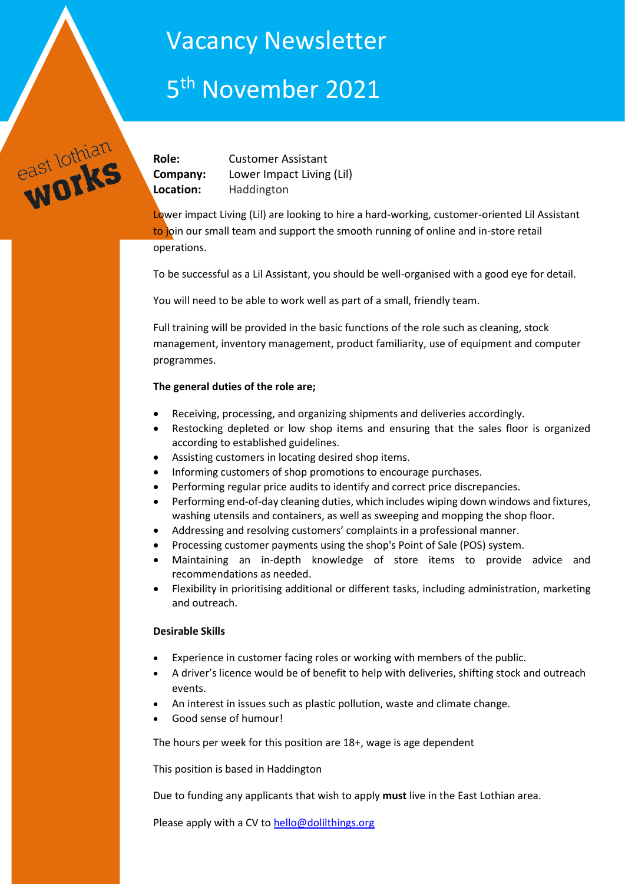## Vacancy Newsletter

# 5<sup>th</sup> November 2021

**Role:** Customer Assistant **Company:** Lower Impact Living (Lil) **Location:** Haddington

east lothian

Lower impact Living (Lil) are looking to hire a hard-working, customer-oriented Lil Assistant to join our small team and support the smooth running of online and in-store retail operations.

To be successful as a Lil Assistant, you should be well-organised with a good eye for detail.

You will need to be able to work well as part of a small, friendly team.

Full training will be provided in the basic functions of the role such as cleaning, stock management, inventory management, product familiarity, use of equipment and computer programmes.

## **The general duties of the role are;**

- Receiving, processing, and organizing shipments and deliveries accordingly.
- Restocking depleted or low shop items and ensuring that the sales floor is organized according to established guidelines.
- Assisting customers in locating desired shop items.
- Informing customers of shop promotions to encourage purchases.
- Performing regular price audits to identify and correct price discrepancies.
- Performing end-of-day cleaning duties, which includes wiping down windows and fixtures, washing utensils and containers, as well as sweeping and mopping the shop floor.
- Addressing and resolving customers' complaints in a professional manner.
- Processing customer payments using the shop's Point of Sale (POS) system.
- Maintaining an in-depth knowledge of store items to provide advice and recommendations as needed.
- Flexibility in prioritising additional or different tasks, including administration, marketing and outreach.

## **Desirable Skills**

- Experience in customer facing roles or working with members of the public.
- A driver's licence would be of benefit to help with deliveries, shifting stock and outreach events.
- An interest in issues such as plastic pollution, waste and climate change.
- Good sense of humour!

The hours per week for this position are 18+, wage is age dependent

This position is based in Haddington

Due to funding any applicants that wish to apply **must** live in the East Lothian area.

Please apply with a CV t[o hello@dolilthings.org](mailto:hello@dolilthings.org)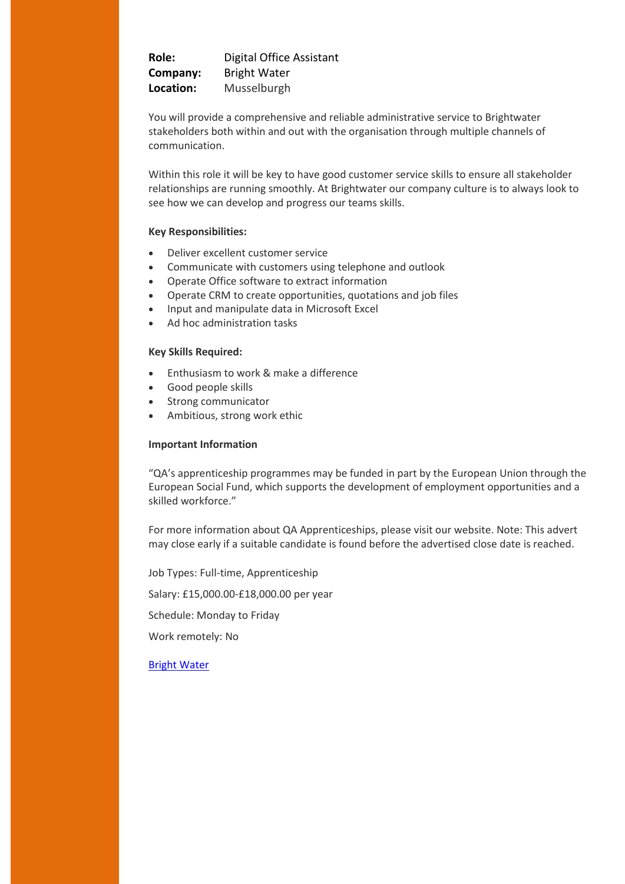**Role:** Digital Office Assistant **Company:** Bright Water **Location:** Musselburgh

You will provide a comprehensive and reliable administrative service to Brightwater stakeholders both within and out with the organisation through multiple channels of communication.

Within this role it will be key to have good customer service skills to ensure all stakeholder relationships are running smoothly. At Brightwater our company culture is to always look to see how we can develop and progress our teams skills.

## **Key Responsibilities:**

- Deliver excellent customer service
- Communicate with customers using telephone and outlook
- Operate Office software to extract information
- Operate CRM to create opportunities, quotations and job files
- Input and manipulate data in Microsoft Excel
- Ad hoc administration tasks

## **Key Skills Required:**

- Enthusiasm to work & make a difference
- Good people skills
- Strong communicator
- Ambitious, strong work ethic

#### **Important Information**

"QA's apprenticeship programmes may be funded in part by the European Union through the European Social Fund, which supports the development of employment opportunities and a skilled workforce."

For more information about QA Apprenticeships, please visit our website. Note: This advert may close early if a suitable candidate is found before the advertised close date is reached.

Job Types: Full-time, Apprenticeship

Salary: £15,000.00-£18,000.00 per year

Schedule: Monday to Friday

Work remotely: No

[Bright Water](https://uk.indeed.com/jobs?q&l=East%20Lothian&radius=15&fromage=3&start=10&advn=6635864265058138&vjk=485751cb4061ad88)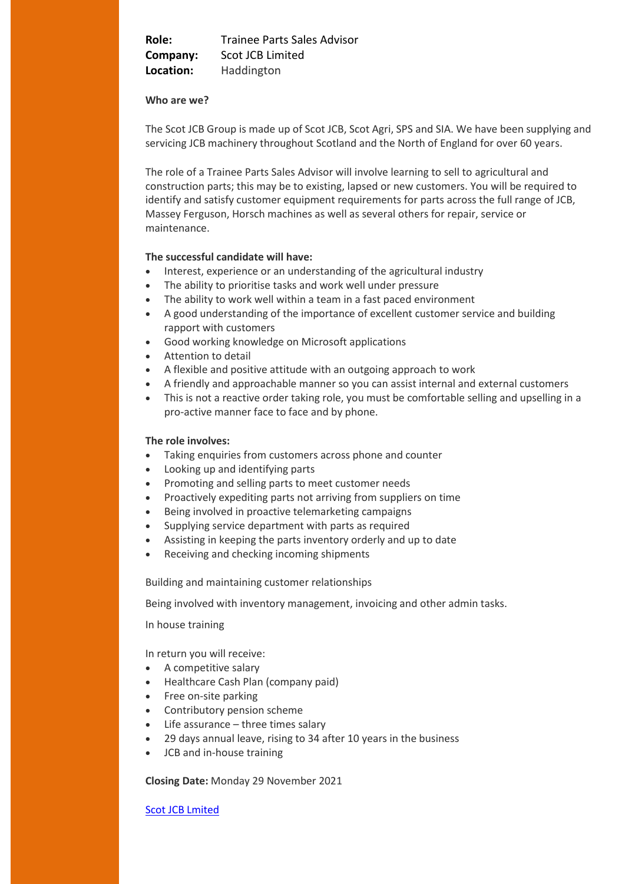**Role:** Trainee Parts Sales Advisor **Company:** Scot JCB Limited **Location:** Haddington

#### **Who are we?**

The Scot JCB Group is made up of Scot JCB, Scot Agri, SPS and SIA. We have been supplying and servicing JCB machinery throughout Scotland and the North of England for over 60 years.

The role of a Trainee Parts Sales Advisor will involve learning to sell to agricultural and construction parts; this may be to existing, lapsed or new customers. You will be required to identify and satisfy customer equipment requirements for parts across the full range of JCB, Massey Ferguson, Horsch machines as well as several others for repair, service or maintenance.

#### **The successful candidate will have:**

- Interest, experience or an understanding of the agricultural industry
- The ability to prioritise tasks and work well under pressure
- The ability to work well within a team in a fast paced environment
- A good understanding of the importance of excellent customer service and building rapport with customers
- Good working knowledge on Microsoft applications
- Attention to detail
- A flexible and positive attitude with an outgoing approach to work
- A friendly and approachable manner so you can assist internal and external customers
- This is not a reactive order taking role, you must be comfortable selling and upselling in a pro-active manner face to face and by phone.

#### **The role involves:**

- Taking enquiries from customers across phone and counter
- Looking up and identifying parts
- Promoting and selling parts to meet customer needs
- Proactively expediting parts not arriving from suppliers on time
- Being involved in proactive telemarketing campaigns
- Supplying service department with parts as required
- Assisting in keeping the parts inventory orderly and up to date
- Receiving and checking incoming shipments

Building and maintaining customer relationships

Being involved with inventory management, invoicing and other admin tasks.

In house training

In return you will receive:

- A competitive salary
- Healthcare Cash Plan (company paid)
- Free on-site parking
- Contributory pension scheme
- Life assurance three times salary
- 29 days annual leave, rising to 34 after 10 years in the business
- JCB and in-house training

**Closing Date:** Monday 29 November 2021

[Scot JCB Lmited](https://www.networxrecruitment.com/Jobs/Feed?key=EwrPZc4BSuqUbXoTqYSYzo7KOl5OAnONJ567pN2YHBs%3d)